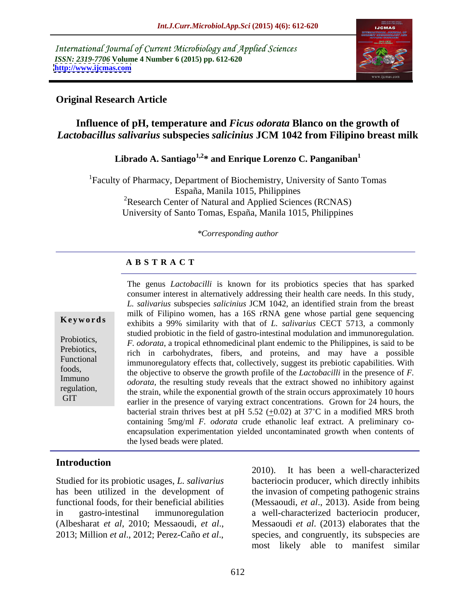International Journal of Current Microbiology and Applied Sciences *ISSN: 2319-7706* **Volume 4 Number 6 (2015) pp. 612-620 <http://www.ijcmas.com>**



#### **Original Research Article**

### **Influence of pH, temperature and** *Ficus odorata* **Blanco on the growth of**  *Lactobacillus salivarius* **subspecies** *salicinius* **JCM 1042 from Filipino breast milk**

## Librado A. Santiago<sup>1,2\*</sup> and Enrique Lorenzo C. Panganiban<sup>1</sup>

1Faculty of Pharmacy, Department of Biochemistry, University of Santo Tomas España, Manila 1015, Philippines <sup>2</sup>Research Center of Natural and Applied Sciences (RCNAS) University of Santo Tomas, España, Manila 1015, Philippines

#### *\*Corresponding author*

#### **A B S T R A C T**

**GIT** 

The genus *Lactobacilli* is known for its probiotics species that has sparked consumer interest in alternatively addressing their health care needs. In this study, *L. salivarius* subspecies *salicinius* JCM 1042, an identified strain from the breast milk of Filipino women, has a 16S rRNA gene whose partial gene sequencing **Keywords** exhibits a 99% similarity with that of *L. salivarius* CECT 5713, a commonly studied probiotic in the field of gastro-intestinal modulation and immunoregulation. *F. odorata*, a tropical ethnomedicinal plant endemic to the Philippines, is said to be Prebiotics, is the carbohydrates, fibers, and proteins, and may have a possible Functional immunoregulatory effects that, collectively, suggest its prebiotic capabilities. With the objective to observe the growth profile of the *Lactobacilli* in the presence of *F.*  foods, Immuno *odorata*, the resulting study reveals that the extract showed no inhibitory against regulation, the strain, while the exponential growth of the strain occurs approximately 10 hours  $\alpha$ earlier in the presence of varying extract concentrations. Grown for 24 hours, the bacterial strain thrives best at pH 5.52 (+0.02) at  $37^{\circ}$ C in a modified MRS broth containing 5mg/ml *F. odorata* crude ethanolic leaf extract. A preliminary co encapsulation experimentation yielded uncontaminated growth when contents of the lysed beads were plated.

### **Introduction**

Studied for its probiotic usages, *L. salivarius*

has been utilized in the development of the invasion of competing pathogenic strains functional foods, for their beneficial abilities (Messaoudi, *et al*., 2013). Aside from being in gastro-intestinal immunoregulation a well-characterized bacteriocin producer, Xtudied for its probiotic usages, *L. salivarius*<br>
has been a well-characterized<br>
has been utilized in the development of<br>
functional foods, for their beneficial abilities<br>
in gastro-intestinal immunoregulation<br>
(Albeshara bacteriocin producer, which directly inhibits Messaoudi *et al*. (2013) elaborates that the species, and congruently, its subspecies are most likely able to manifest similar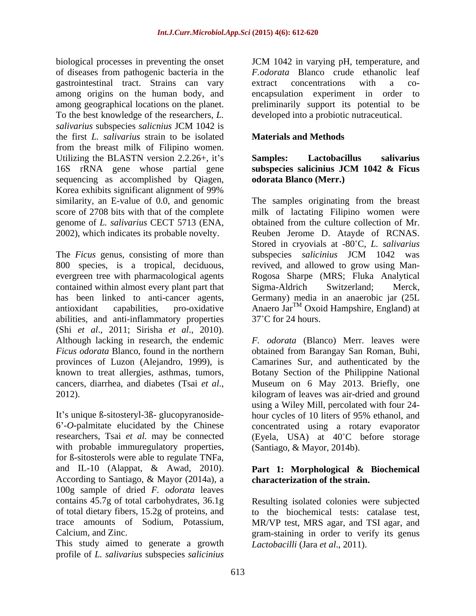of diseases from pathogenic bacteria in the gastrointestinal tract. Strains can vary among origins on the human body, and To the best knowledge of the researchers, *L. salivarius* subspecies *salicnius* JCM 1042 is the first *L. salivarius* strain to be isolated from the breast milk of Filipino women. Utilizing the BLASTN version 2.2.26+, it's Samples: Lactobacillus salivarius 16S rRNA gene whose partial gene subspecies salicinius JCM 1042 & Ficus sequencing as accomplished by Qiagen, Korea exhibits significant alignment of 99%

The *Ficus* genus, consisting of more than subspecies *salicinius* JCM 1042 was contained within almost every plant part that Sigma-Aldrich Switzerland; Merck, abilities, and anti-inflammatory properties 37°C for 24 hours. (Shi *et al*., 2011; Sirisha *et al*., 2010). provinces of Luzon (Alejandro, 1999), is

It's unique ß-sitosteryl-3ß- glucopyranoside-<br>hour cycles of 10 liters of 95% ethanol, and 6 -*O*-palmitate elucidated by the Chinese concentrated using a rotary evaporator researchers, Tsai *et al.* may be connected (Eyela, USA) at 40 C before storage with probable immuregulatory properties, for ß-sitosterols were able to regulate TNFa, and IL-10 (Alappat, & Awad, 2010). According to Santiago, & Mayor (2014a), a 100g sample of dried *F. odorata* leaves contains 45.7g of total carbohydrates, 36.1g Resulting isolated colonies were subjected of total dietary fibers, 15.2g of proteins, and trace amounts of Sodium, Potassium, MR/VP test, MRS agar, and TSI agar, and

This study aimed to generate a growth profile of *L. salivarius* subspecies *salicinius* 

biological processes in preventing the onset JCM 1042 in varying pH, temperature, and among geographical locations on the planet. preliminarily support its potential to be *F.odorata* Blanco crude ethanolic leaf extract concentrations with a co encapsulation experiment in order to developed into a probiotic nutraceutical.

### **Materials and Methods**

#### **Samples: Lactobacillus salivarius subspecies salicinius JCM 1042 & Ficus odorata Blanco (Merr.)**

similarity, an E-value of 0.0, and genomic The samples originating from the breast score of 2708 bits with that of the complete milk of lactating Filipino women were genome of *L. salivarius* CECT 5713 (ENA, obtained from the culture collection of Mr. 2002), which indicates its probable novelty. Reuben Jerome D. Atayde of RCNAS. 800 species, is a tropical, deciduous, revived, and allowed to grow using Man evergreen tree with pharmacological agents Rogosa Sharpe (MRS; Fluka Analytical has been linked to anti-cancer agents, Germany) media in an anaerobic jar (25L antioxidant capabilities, pro-oxidative Anaero Jar<sup>1M</sup> Oxoid Hampshire, England) at Stored in cryovials at -80 C, *L. salivarius* subspecies *salicinius* JCM 1042 was Sigma-Aldrich Switzerland; Merck, <sup>TM</sup> Oxoid Hampshire, England) at  $37^{\circ}$ C for 24 hours.

Although lacking in research, the endemic *F. odorata* (Blanco) Merr. leaves were *Ficus odorata* Blanco, found in the northern obtained from Barangay San Roman, Buhi, known to treat allergies, asthmas, tumors, Botany Section of the Philippine National cancers, diarrhea, and diabetes (Tsai *et al.*, Museum on 6 May 2013. Briefly, one kilogram of leaves was air-dried and ground Camarines Sur, and authenticated by the Museum on 6 May 2013. Briefly, one kilogram of leaves was air-dried and ground using a Wiley Mill, percolated with four 24- (Santiago, & Mayor, 2014b).

#### **Part 1: Morphological & Biochemical characterization of the strain.**

Calcium, and Zinc. gram-staining in order to verify its genus to the biochemical tests: catalase test, *Lactobacilli* (Jara *et al*., 2011).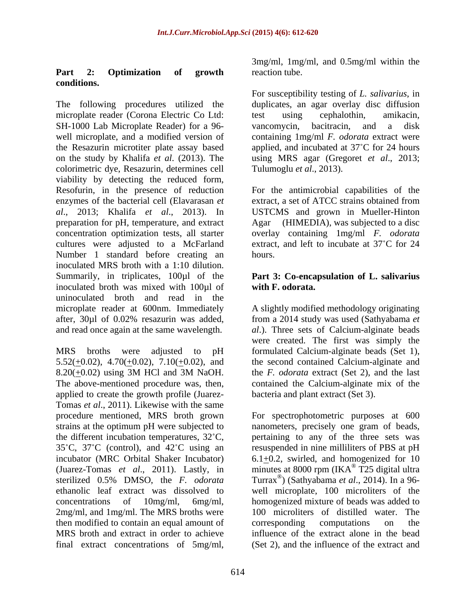### **Part 2: Optimization of growth conditions.**

The following procedures utilized the duplicates, an agar overlay disc diffusion microplate reader (Corona Electric Co Ltd: test using cephalothin, amikacin, SH-1000 Lab Microplate Reader) for a 96- vancomycin, bacitracin, and a disk well microplate, and a modified version of containing 1mg/ml *F. odorata* extract were the Resazurin microtiter plate assay based applied, and incubated at 37°C for 24 hours on the study by Khalifa *et al*. (2013).The using MRS agar (Gregoret *et al*., 2013; colorimetric dye, Resazurin, determines cell viability by detecting the reduced form, Resofurin, in the presence of reduction For the antimicrobial capabilities of the enzymes of the bacterial cell (Elavarasan *et* extract, a set of ATCC strains obtained from *al*., 2013; Khalifa *et al*., 2013). In USTCMS and grown in Mueller-Hinton preparation for pH, temperature, and extract concentration optimization tests, all starter overlay containing 1mg/ml *F. odorata* cultures were adjusted to a McFarland Number 1 standard before creating an hours. inoculated MRS broth with a 1:10 dilution. Summarily, in triplicates, 100µl of the **Part 3: Co-encapsulation of L. salivarius** inoculated broth was mixed with 100µl of uninoculated broth and read in the microplate reader at 600nm. Immediately after, 30µl of 0.02% resazurin was added, from a 2014 study was used (Sathyabama *et*  and read once again at the same wavelength. *al*.). Three sets of Calcium-alginate beads

MRS broths were adjusted to pH formulated Calcium-alginate beads (Set 1),  $5.52(\pm 0.02)$ ,  $4.70(\pm 0.02)$ ,  $7.10(\pm 0.02)$ , and the second contained Calcium-alginate and  $8.20(\pm 0.02)$  using 3M HCl and 3M NaOH. the *F. odorata* extract (Set 2), and the last The above-mentioned procedure was, then, applied to create the growth profile (Juarez- Tomas *et al*., 2011). Likewise with the same strains at the optimum pH were subjected to 2mg/ml, and 1mg/ml. The MRS broths were then modified to contain an equal amount of corresponding computations on the final extract concentrations of 5mg/ml,

3mg/ml, 1mg/ml, and 0.5mg/ml within the reaction tube.

For susceptibility testing of *L. salivarius*, in test using cephalothin, amikacin, vancomycin, bacitracin, and a disk Tulumoglu *et al*., 2013).

extract, a set of ATCC strains obtained from (HIMEDIA), was subjected to a disc extract, and left to incubate at 37°C for 24 hours.

# **with F. odorata.**

A slightly modified methodology originating were created. The first was simply the the *F. odorata* extract (Set 2), and the last contained the Calcium-alginate mix of the bacteria and plant extract (Set 3).

procedure mentioned, MRS broth grown For spectrophotometric purposes at 600 the different incubation temperatures,  $32^{\circ}$ C, pertaining to any of the three sets was 35 C, 37 C (control), and 42 C using an resuspended in nine milliliters of PBS at pH incubator (MRC Orbital Shaker Incubator)  $6.1 \pm 0.2$ , swirled, and homogenized for 10 (Juarez-Tomas *et al.*, 2011). Lastly, in minutes at 8000 rpm (IKA<sup>®</sup> T25 digital ultra sterilized 0.5% DMSO, the *F. odorata* ethanolic leaf extract was dissolved to well microplate, 100 microliters of the concentrations of 10mg/ml, 6mg/ml, homogenized mixture of beads was added to MRS broth and extract in order to achieve influence of the extract alone in the bead nanometers, precisely one gram of beads, T25 digital ultra Turrax® ) (Sathyabama *et al*., 2014). In a 96- 100 microliters of distilled water. The corresponding computations on the (Set 2), and the influence of the extract and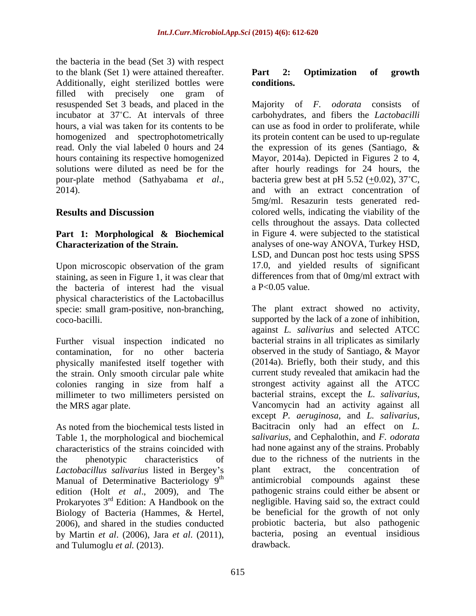the bacteria in the bead (Set 3) with respect to the blank (Set 1) were attained thereafter. **Part 2: Optimization of growth** Additionally, eight sterilized bottles were conditions. filled with precisely one gram of

## **Part 1: Morphological & Biochemical**

Upon microscopic observation of the gram staining, as seen in Figure 1, it was clear that the bacteria of interest had the visual physical characteristics of the Lactobacillus specie: small gram-positive, non-branching,

Further visual inspection indicated no the strain. Only smooth circular pale white colonies ranging in size from half a strongest activity against all the ATCC millimeter to two millimeters persisted on bacterial strains, except the L. salivarius, millimeter to two millimeters persisted on

Table 1, the morphological and biochemical characteristics of the strains coincided with *Lactobacillus salivarius* listed in Bergey s Manual of Determinative Bacteriology  $9<sup>th</sup>$  antimicrobial compounds against these edition (Holt *et al*., 2009), and The Prokaryotes 3<sup>rd</sup> Edition: A Handbook on the Biology of Bacteria (Hammes, & Hertel, 2006), and shared in the studies conducted by Martin *et al.* (2006), Jara *et al.* (2011), bacteria, posing an eventual insidious drawback.

#### **Part 2: Optimization of growth conditions.**

resuspended Set 3 beads, and placed in the Majority of *F. odorata* consists of incubator at 37 C. At intervals of three carbohydrates, and fibers the *Lactobacilli* hours, a vial was taken for its contents to be can use as food in order to proliferate, while homogenized and spectrophotometrically its protein content can be used to up-regulate read. Only the vial labeled 0 hours and 24 the expression of its genes (Santiago, & hours containing its respective homogenized Mayor, 2014a). Depicted in Figures 2 to 4, solutions were diluted as need be for the after hourly readings for 24 hours, the pour-plate method (Sathyabama *et al.*, bacteria grew best at pH 5.52 ( $\pm$ 0.02), 37<sup>°</sup>C,<br>2014). and with an extract concentration of **Results and Discussion colored wells, indicating the viability of the Characterization of the Strain.**  analyses of one-way ANOVA, Turkey HSD, bacteria grew best at pH 5.52  $(+0.02)$ , 37<sup>°</sup>C, and with an extract concentration of 5mg/ml. Resazurin tests generated red cells throughout the assays. Data collected in Figure 4. were subjected to the statistical LSD, and Duncan post hoc tests using SPSS 17.0, and yielded results of significant differences from that of 0mg/ml extract with a P<0.05 value.

coco-bacilli. supported by the lack of a zone of inhibition, contamination, for no other bacteria observed in the study of Santiago, & Mayor physically manifested itself together with (2014a). Briefly, both their study, and this the MRS agar plate.<br>
Vancomycin had an activity against all<br>
except *P. aeruginosa*, and *L. salivarius*, As noted from the biochemical tests listed in Bacitracin only had an effect on L. the phenotypic characteristics of due to the richness of the nutrients in the <sup>th</sup> antimicrobial compounds against these <sup>rd</sup> Edition: A Handbook on the negligible. Having said so, the extract could The plant extract showed no activity, against *L. salivarius* and selected ATCC bacterial strains in all triplicates as similarly current study revealed that amikacin had the strongest activity against all the ATCC bacterial strains, except the *L. salivarius*, Vancomycin had an activity against all except *P. aeruginosa*, and *L. salivarius*, Bacitracin only had an effect on *L. salivarius*, and Cephalothin, and *F. odorata* had none against any of the strains. Probably plant extract, the concentration of pathogenic strains could either be absent or be beneficial for the growth of not only probiotic bacteria, but also pathogenic bacteria, posing an eventual insidious drawback.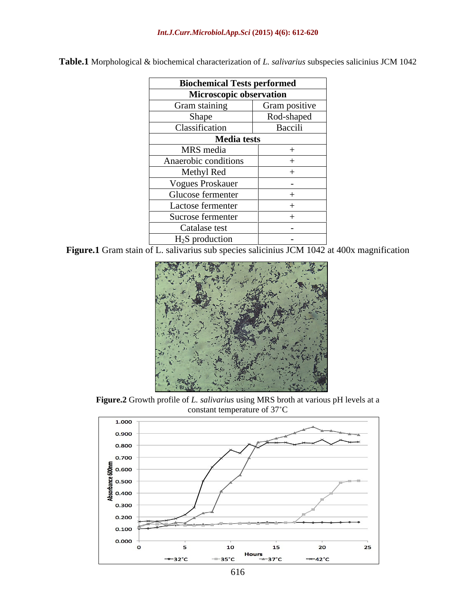| <b>Biochemical Tests performed</b> |                          |
|------------------------------------|--------------------------|
| Microscopic observation            |                          |
| Gram staining                      | Gram positive            |
| Shape                              | Rod-shaped               |
| Classification                     | Baccili                  |
| <b>Media tests</b>                 |                          |
| MRS media                          |                          |
| Anaerobic conditions               |                          |
| Methyl Red                         |                          |
| <b>Vogues Proskauer</b>            | $\sim$                   |
| Glucose fermenter                  |                          |
| Lactose fermenter                  |                          |
| Sucrose fermenter                  |                          |
| Catalase test                      | $\overline{\phantom{0}}$ |
| $H2S$ production                   | $\sim$                   |

**Table.1** Morphological & biochemical characterization of *L. salivarius* subspecies salicinius JCM 1042

Figure.1 Gram stain of L. salivarius sub species salicinius JCM 1042 at 400x magnification



**Figure.2** Growth profile of *L. salivarius* using MRS broth at various pH levels at a constant temperature of 37°C

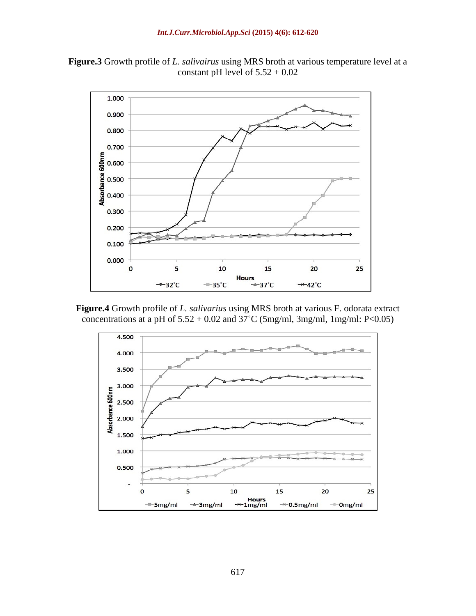



**Figure.4** Growth profile of *L. salivarius* using MRS broth at various F. odorata extract concentrations at a pH of  $5.52 + 0.02$  and  $37^{\circ}$ C (5mg/ml, 3mg/ml, 1mg/ml: P<0.05)

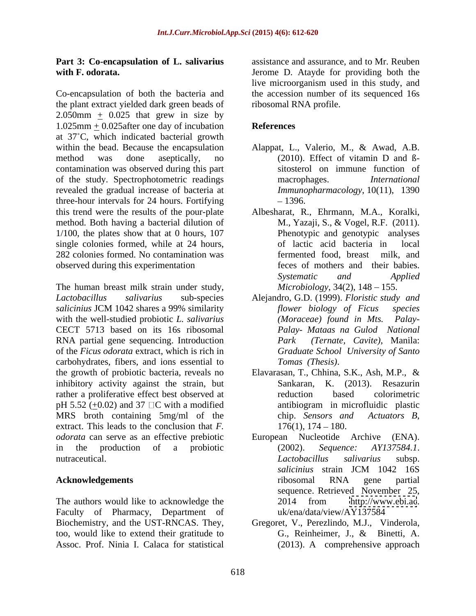Co-encapsulation of both the bacteria and the accession number of its sequenced 16s the plant extract yielded dark green beads of 2.050mm  $\pm$  0.025 that grew in size by 1.025mm + 0.025after one day of incubation at 37 C, which indicated bacterial growth within the bead. Because the encapsulation Alappat, L., Valerio, M., & Awad, A.B. method was done aseptically, no (2010). Effect of vitamin D and Bcontamination was observed during this part of the study. Spectrophotometric readings revealed the gradual increase of bacteria at three-hour intervals for 24 hours. Fortifying this trend were the results of the pour-plate Albesharat, R., Ehrmann, M.A., Koralki, method. Both having a bacterial dilution of  $1/100$ , the plates show that at 0 hours, 107 single colonies formed, while at 24 hours, of lactic acid bacteria in local 282 colonies formed. No contamination was fermented food, breast milk, and observed during this experimentation

The human breast milk strain under study, *Lactobacillus salivarius* sub-species Alejandro, G.D. (1999). *Floristic study and salicinius* JCM 1042 shares a 99% similarity with the well-studied probiotic *L. salivarius* (*Moraceae*) found in Mts. Palay-CECT 5713 based on its 16s ribosomal RNA partial gene sequencing. Introduction of the *Ficus odorata* extract, which is rich in carbohydrates, fibers, and ions essential to the growth of probiotic bacteria, reveals no Elavarasan, T., Chhina, S.K., Ash, M.P., & inhibitory activity against the strain, but rather a proliferative effect best observed at enduction based colorimetric pH 5.52 (+0.02) and 37  $\Box$ C with a modified antibiogram in microfluidic plastic MRS broth containing 5mg/ml of the chip. Sensors and Actuators B, extract. This leads to the conclusion that  $F$ .  $176(1)$ ,  $174-180$ . *odorata* can serve as an effective prebiotic in the production of a probiotic (2002). Sequence: AY137584.1. nutraceutical. **Example 2** and the *nutraceutical* curve of *Lactobacillus* salivarius subsp.

The authors would like to acknowledge the  $2014$  from http://www.ebi.ac. Faculty of Pharmacy, Department of Biochemistry, and the UST-RNCAS. They, too, would like to extend their gratitude to G., Reinheimer, J., & Binetti, A. Assoc. Prof. Ninia I. Calaca for statistical

**Part 3: Co-encapsulation of L. salivarius** assistance and assurance, and to Mr. Reuben **with F. odorata.**  Jerome D. Atayde for providing both the live microorganism used in this study, and ribosomal RNA profile.

### **References**

- (2010). Effect of vitamin D and ß sitosterol on immune function of macrophages. *International Immunopharmacology*, 10(11), 1390 1396.
- M., Yazaji, S., & Vogel, R.F. (2011). Phenotypic and genotypic analyses of lactic acid bacteria in fermented food, breast milk, and feces of mothers and their babies. *Systematic and Applied Microbiology*, 34(2), 148 – 155.
- *flower biology of Ficus species (Moraceae) found in Mts. Palay- Mataas na Gulod National Park (Ternate, Cavite)*, Manila: *Graduate School University of Santo Tomas (Thesis)*.
- Sankaran, K. (2013). Resazurin reduction based colorimetric antibiogram in microfluidic plastic chip. *Sensors and Actuators <sup>B</sup>*, 176(1), 174 180.
- **Acknowledgements and in the contract of the contract of the contract of the contract of the contract of the contract of the contract of the contract of the contract of the contract of the contract of the contract of the** Nucleotide Archive (2002). *Sequence: AY137584.1*. *Lactobacillus salivarius* subsp. *salicinius* strain JCM 1042 16S ribosomal RNA gene partial sequence. Retrieved November 25, 2014 from <http://www.ebi.ac>. uk/ena/data/view/AY137584
	- Gregoret, V., Perezlindo, M.J., Vinderola, G., Reinheimer, J., & Binetti, A. (2013). A comprehensive approach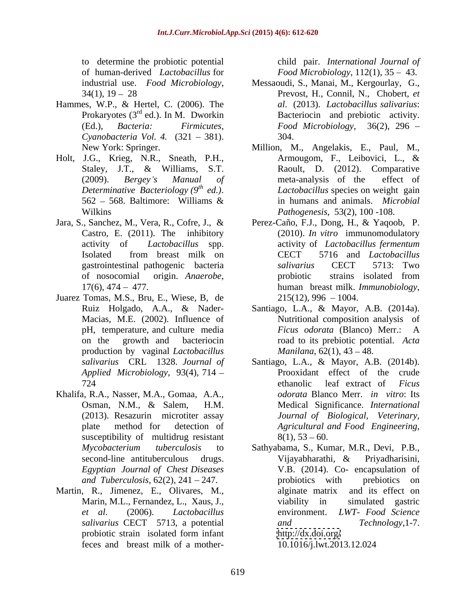to determine the probiotic potential of human-derived *Lactobacillus* for *Food Microbiology*, 112(1), 35 43.

- Hammes, W.P., & Hertel, C. (2006). The<br>Prokaryotes (3<sup>rd</sup> ed.). In M. Dworkin *Cyanobacteria Vol. 4.* (321 – 381). 304.
- Holt, J.G., Krieg, N.R., Sneath, P.H., Armougom, F., Leibovici, L., &
- 
- Juarez Tomas, M.S., Bru, E., Wiese, B, de production by vaginal *Lactobacillus*
- Khalifa, R.A., Nasser, M.A., Gomaa, A.A., susceptibility of multidrug resistant  $8(1)$ ,  $53 - 60$ .
- Martin, R., Jimenez, E., Olivares, M., alginate matrix and its effect on feces and breast milk of a mother-

child pair. *International Journal of*

- industrial use. *Food Microbiology*, Messaoudi, S., Manai, M., Kergourlay, G., 34(1), 19 28 **Prevost**, H., Connil, N., Chobert, *et* Prokaryotes (3<sup>rd</sup> ed.). In M. Dworkin Bacteriocin and prebiotic activity. (Ed.), *Bacteria: Firmicutes, Food Microbiology*, 36(2), 296 Messaoudi, S., Manai, M., Kergourlay, G., Prevost, H., Connil, N., Chobert, *et al*. (2013). *Lactobacillus salivarius*: 304.
- New York: Springer. Million, M., Angelakis, E., Paul, M., Staley, J.T., & Williams, S.T. Raoult, D. (2012). Comparative (2009). *Bergey s Manual of* meta-analysis of the effect of *Determinative Bacteriology (9<sup>th</sup> ed.). Lactobacillus* species on weight gain 562 – 568. Baltimore: Williams & in humans and animals. *Microbial* Wilkins *Pathogenesis*, 53(2), 100 -108. Armougom, F., Leibovici, L., & Raoult, D. (2012). Comparative *Lactobacillus* species on weight gain in humans and animals. *Microbial*
- Jara, S., Sanchez, M., Vera, R., Cofre, J., & Perez-Caño, F.J., Dong, H., & Yaqoob, P. Castro, E. (2011). The inhibitory (2010). *In vitro* immunomodulatory activity of *Lactobacillus* spp. Isolated from breast milk on CECT 5716 and Lactobacillus gastrointestinal pathogenic bacteria salivarius CECT 5713: Two of nosocomial origin. *Anaerobe*, probiotic strains isolated from 17(6), 474 – 477. activity of *Lactobacillus fermentum* CECT 5716 and *Lactobacillus salivarius* CECT 5713: Two probiotic strains isolated from human breast milk. *Immunobiology*,<br>215(12), 996 – 1004.
	- Ruiz Holgado, A.A., & Nader- Santiago, L.A., & Mayor, A.B. (2014a). Macias, M.E. (2002). Influence of Nutritional composition analysis of pH, temperature, and culture media Ficus odorata (Blanco) Merr.: A on the growth and bacteriocin road to its prebiotic potential. *Acta Ficus odorata* (Blanco) Merr.: A *Manilana*, 62(1), 43 – 48.
	- *salivarius* CRL 1328. *Journal of* Santiago, L.A., & Mayor, A.B. (2014b). *Applied Microbiology*, 93(4), 714 Prooxidant effect of the crude 724 ethanolic leaf extract of *Ficus* Osman, N.M., & Salem, H.M. Medical Significance. *International* (2013). Resazurin microtiter assay *Journal of Biological, Veterinary,* plate method for detection of Agricultural and Food Engineering, ethanolic leaf extract of *Ficus odorata* Blanco Merr. *in vitro*: Its *Agricultural and Food Engineering*,<br>8(1), 53 – 60.
	- *Mycobacterium tuberculosis* to Sathyabama, S., Kumar, M.R., Devi, P.B., second-line antituberculous drugs. Vijayabharathi, & Privadharisini, *Egyptian Journal of Chest Diseases and Tuberculosis*, 62(2), 241 – 247. **probiotics** with prebiotics on Marin, M.L., Fernandez, L., Xaus, J., etc. viability in simulated gastric *et al*. (2006). *Lactobacillus*  environment. *LWT- Food Science salivarius* CECT 5713, a potential probiotic strain isolated form infant http://dx.doi.org/ Vijayabharathi, & Priyadharisini, V.B. (2014). Co- encapsulation of probiotics with prebiotics on alginate matrix and its effect on viability in simulated gastric *and Technology*,1-7. <http://dx.doi.org/> 10.1016/j.lwt.2013.12.024